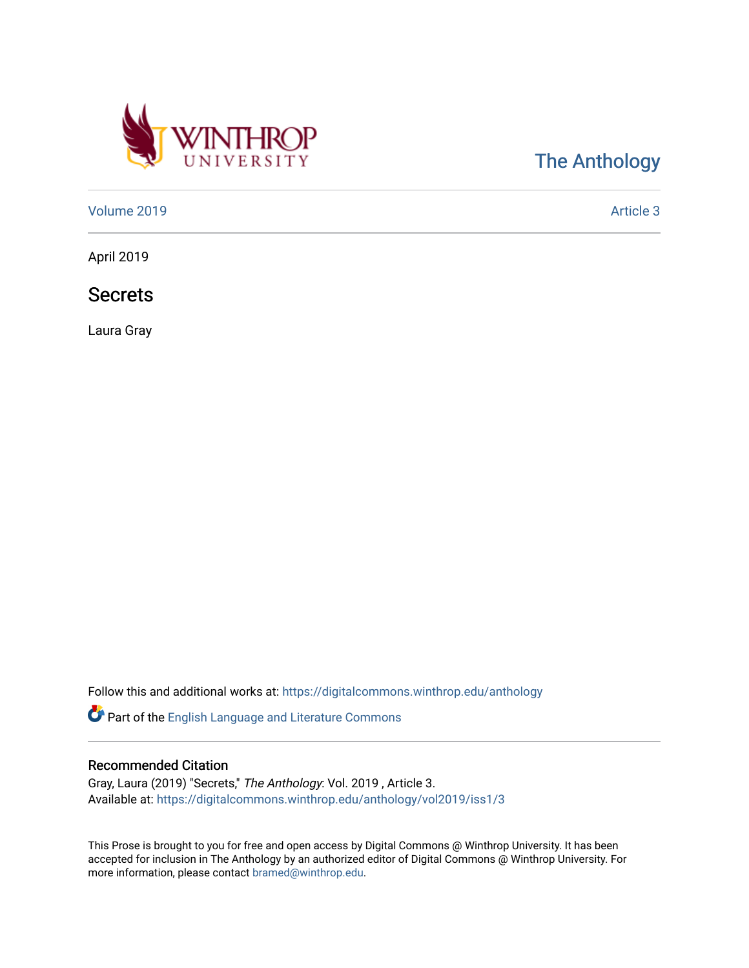

## [The Anthology](https://digitalcommons.winthrop.edu/anthology)

[Volume 2019](https://digitalcommons.winthrop.edu/anthology/vol2019) **Article 3** Article 3

April 2019

**Secrets** 

Laura Gray

Follow this and additional works at: [https://digitalcommons.winthrop.edu/anthology](https://digitalcommons.winthrop.edu/anthology?utm_source=digitalcommons.winthrop.edu%2Fanthology%2Fvol2019%2Fiss1%2F3&utm_medium=PDF&utm_campaign=PDFCoverPages) 

Part of the [English Language and Literature Commons](http://network.bepress.com/hgg/discipline/455?utm_source=digitalcommons.winthrop.edu%2Fanthology%2Fvol2019%2Fiss1%2F3&utm_medium=PDF&utm_campaign=PDFCoverPages)

## Recommended Citation

Gray, Laura (2019) "Secrets," The Anthology: Vol. 2019 , Article 3. Available at: [https://digitalcommons.winthrop.edu/anthology/vol2019/iss1/3](https://digitalcommons.winthrop.edu/anthology/vol2019/iss1/3?utm_source=digitalcommons.winthrop.edu%2Fanthology%2Fvol2019%2Fiss1%2F3&utm_medium=PDF&utm_campaign=PDFCoverPages) 

This Prose is brought to you for free and open access by Digital Commons @ Winthrop University. It has been accepted for inclusion in The Anthology by an authorized editor of Digital Commons @ Winthrop University. For more information, please contact [bramed@winthrop.edu](mailto:bramed@winthrop.edu).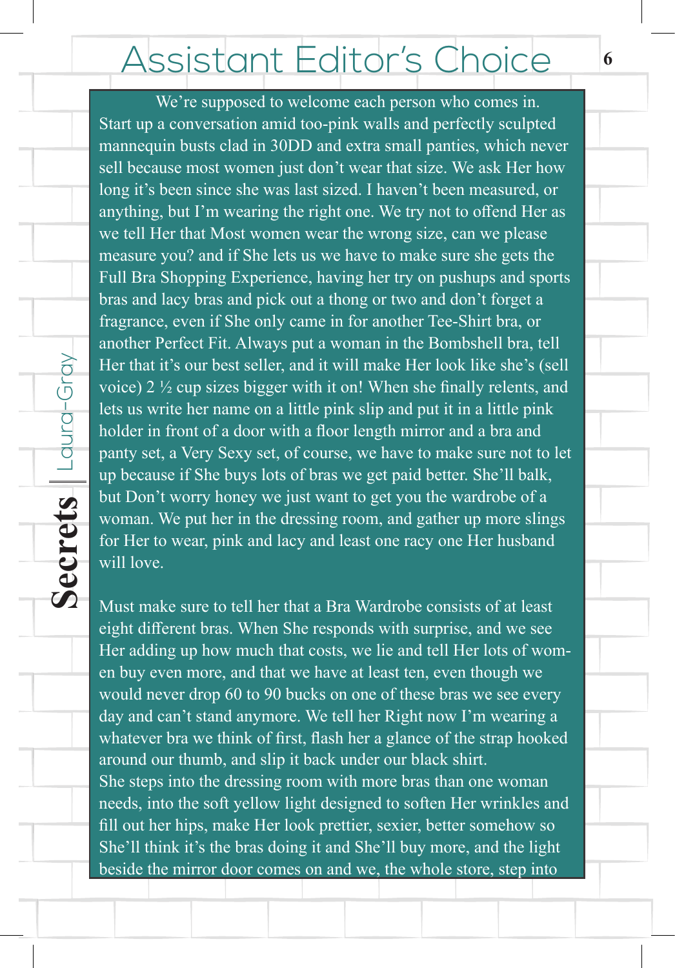## Assistant Editor's Choice

We're supposed to welcome each person who comes in. Start up a conversation amid too-pink walls and perfectly sculpted mannequin busts clad in 30DD and extra small panties, which never sell because most women just don't wear that size. We ask Her how long it's been since she was last sized. I haven't been measured, or anything, but I'm wearing the right one. We try not to offend Her as we tell Her that Most women wear the wrong size, can we please measure you? and if She lets us we have to make sure she gets the Full Bra Shopping Experience, having her try on pushups and sports bras and lacy bras and pick out a thong or two and don't forget a fragrance, even if She only came in for another Tee-Shirt bra, or another Perfect Fit. Always put a woman in the Bombshell bra, tell Her that it's our best seller, and it will make Her look like she's (sell voice) 2 ½ cup sizes bigger with it on! When she finally relents, and lets us write her name on a little pink slip and put it in a little pink holder in front of a door with a floor length mirror and a bra and panty set, a Very Sexy set, of course, we have to make sure not to let up because if She buys lots of bras we get paid better. She'll balk, but Don't worry honey we just want to get you the wardrobe of a woman. We put her in the dressing room, and gather up more slings for Her to wear, pink and lacy and least one racy one Her husband will love.

**Secrets** Laura-Gray

Secrets

 $\lfloor$  Laura-Gray

Must make sure to tell her that a Bra Wardrobe consists of at least eight different bras. When She responds with surprise, and we see Her adding up how much that costs, we lie and tell Her lots of women buy even more, and that we have at least ten, even though we would never drop 60 to 90 bucks on one of these bras we see every day and can't stand anymore. We tell her Right now I'm wearing a whatever bra we think of first, flash her a glance of the strap hooked around our thumb, and slip it back under our black shirt. She steps into the dressing room with more bras than one woman needs, into the soft yellow light designed to soften Her wrinkles and fill out her hips, make Her look prettier, sexier, better somehow so She'll think it's the bras doing it and She'll buy more, and the light beside the mirror door comes on and we, the whole store, step into